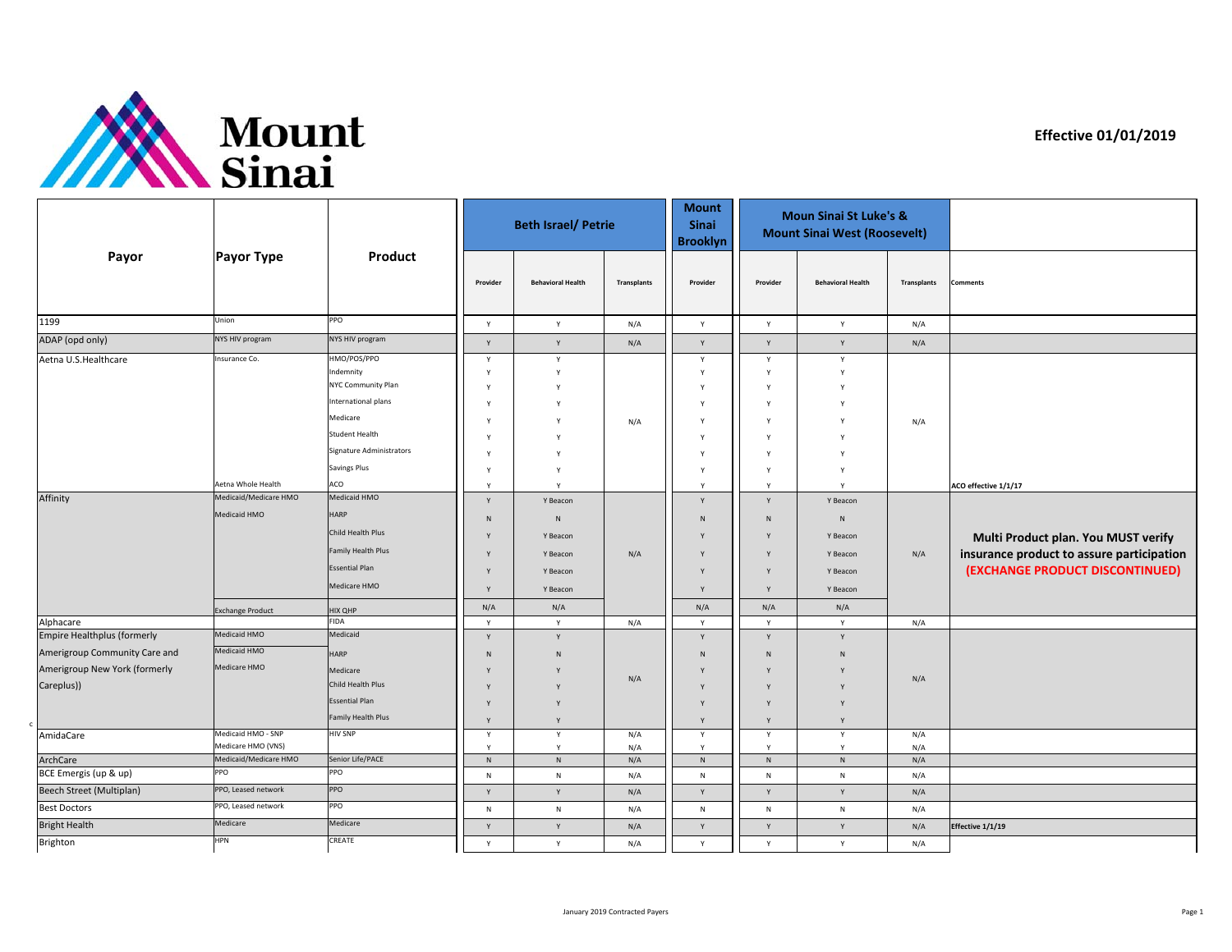

c

**Effective 01/01/2019**

|                                                                              | <b>Payor Type</b>                                                            | Product                                                                                                                                                                                                                                 |                                                                          | <b>Beth Israel/ Petrie</b>                                                                               |             | <b>Mount</b><br><b>Sinai</b><br><b>Brooklyn</b>               | <b>Moun Sinai St Luke's &amp;</b><br><b>Mount Sinai West (Roosevelt)</b> |                                                                                                               |                    |                                                                                                          |
|------------------------------------------------------------------------------|------------------------------------------------------------------------------|-----------------------------------------------------------------------------------------------------------------------------------------------------------------------------------------------------------------------------------------|--------------------------------------------------------------------------|----------------------------------------------------------------------------------------------------------|-------------|---------------------------------------------------------------|--------------------------------------------------------------------------|---------------------------------------------------------------------------------------------------------------|--------------------|----------------------------------------------------------------------------------------------------------|
| Payor                                                                        |                                                                              |                                                                                                                                                                                                                                         | Provider                                                                 | <b>Behavioral Health</b>                                                                                 | Transplants | Provider                                                      | Provider                                                                 | <b>Behavioral Health</b>                                                                                      | <b>Transplants</b> | <b>Comments</b>                                                                                          |
| 1199                                                                         | Union                                                                        | PPO                                                                                                                                                                                                                                     | Y                                                                        | $\mathsf{Y}$                                                                                             | N/A         | Y                                                             | Y                                                                        | Y                                                                                                             | N/A                |                                                                                                          |
| ADAP (opd only)                                                              | NYS HIV program                                                              | NYS HIV program                                                                                                                                                                                                                         | Y                                                                        | Y                                                                                                        | N/A         | Y                                                             | Y                                                                        | Y                                                                                                             | N/A                |                                                                                                          |
| Aetna U.S.Healthcare<br>Affinity                                             | Insurance Co.<br>Aetna Whole Health<br>Medicaid/Medicare HMO<br>Medicaid HMO | HMO/POS/PPO<br>Indemnity<br>NYC Community Plan<br>International plans<br>Medicare<br>Student Health<br>Signature Administrators<br><b>Savings Plus</b><br>ACO<br>Medicaid HMO<br><b>HARP</b><br>Child Health Plus<br>Family Health Plus | Y<br>Y<br>Y<br>Y<br>Y<br>Y<br>Y<br>Y<br>Y<br>Y<br>$\mathsf{N}$<br>Y<br>Y | $\mathsf{Y}$<br>Y<br>v<br>v<br>v<br>Υ<br>Y<br>Y<br>$\mathsf{v}$<br>Y Beacon<br>N<br>Y Beacon<br>Y Beacon | N/A<br>N/A  | Y<br>Y<br>Y<br>Y<br>Y<br>Y<br>Y<br>Y<br>Y<br>Y<br>N<br>Y<br>Y | Y<br>Y<br><sup>Y</sup><br>Y<br>Y<br>Y<br>Y<br>Y<br>Y<br>Y<br>N<br>Y<br>Y | Y<br>Y<br>$\mathbf v$<br>$\mathsf{v}$<br>Y<br>$\mathsf{v}$<br>v<br>v<br>Y Beacon<br>N<br>Y Beacon<br>Y Beacon | N/A<br>N/A         | ACO effective 1/1/17<br>Multi Product plan. You MUST verify<br>insurance product to assure participation |
|                                                                              | <b>Exchange Product</b>                                                      | <b>Essential Plan</b><br>Medicare HMO<br><b>HIX QHP</b>                                                                                                                                                                                 | Y<br>Y<br>N/A                                                            | Y Beacon<br>Y Beacon<br>N/A                                                                              |             | Y<br>Y<br>N/A                                                 | Y<br>Y<br>N/A                                                            | Y Beacon<br>Y Beacon<br>N/A                                                                                   |                    | (EXCHANGE PRODUCT DISCONTINUED)                                                                          |
| Alphacare<br><b>Empire Healthplus (formerly</b>                              | Medicaid HMO                                                                 | <b>FIDA</b><br>Medicaid                                                                                                                                                                                                                 | Y                                                                        | Y                                                                                                        | N/A         | Y                                                             | Y                                                                        | Y                                                                                                             | N/A                |                                                                                                          |
| Amerigroup Community Care and<br>Amerigroup New York (formerly<br>Careplus)) | Medicaid HMO<br>Medicare HMO                                                 | <b>HARP</b><br>Medicare<br>Child Health Plus<br><b>Essential Plan</b><br>Family Health Plus                                                                                                                                             | Y<br>N<br>Y<br>Y<br>Y<br>Y                                               | Y<br>N<br>Y<br>Y                                                                                         | N/A         | Y<br>${\sf N}$<br>Y<br>Y<br>Y<br>Y                            | Y<br>N<br><b>V</b><br>Y<br>Y<br>Y                                        | Y<br>${\sf N}$<br><b>V</b><br>Y                                                                               | N/A                |                                                                                                          |
| AmidaCare                                                                    | Medicaid HMO - SNP                                                           | <b>HIV SNP</b>                                                                                                                                                                                                                          | Y                                                                        | $\mathsf{Y}$                                                                                             | N/A         | Y                                                             | Y                                                                        | Y                                                                                                             | N/A                |                                                                                                          |
| ArchCare                                                                     | Medicare HMO (VNS)<br>Medicaid/Medicare HMO                                  | Senior Life/PACE                                                                                                                                                                                                                        | Y<br>$\,$ N                                                              | $\mathsf{Y}$<br>$\mathsf{N}$                                                                             | N/A<br>N/A  | Y<br>$\,$ N                                                   | Y<br>$\,$ N                                                              | Y<br>$\,$ N                                                                                                   | N/A<br>N/A         |                                                                                                          |
| BCE Emergis (up & up)                                                        | PPO                                                                          | PPO                                                                                                                                                                                                                                     | N                                                                        | $\mathsf{N}$                                                                                             | N/A         | N                                                             | N                                                                        | $\mathsf N$                                                                                                   | N/A                |                                                                                                          |
| Beech Street (Multiplan)                                                     | PPO, Leased network                                                          | PPO                                                                                                                                                                                                                                     | $\mathsf{Y}$                                                             | Y                                                                                                        | N/A         | Y                                                             | Y                                                                        | Y                                                                                                             | N/A                |                                                                                                          |
| <b>Best Doctors</b>                                                          | PPO, Leased network                                                          | PPO                                                                                                                                                                                                                                     | ${\sf N}$                                                                | ${\sf N}$                                                                                                | N/A         | ${\sf N}$                                                     | ${\sf N}$                                                                | ${\sf N}$                                                                                                     | N/A                |                                                                                                          |
| <b>Bright Health</b>                                                         | Medicare                                                                     | Medicare                                                                                                                                                                                                                                | Y                                                                        | Y                                                                                                        | N/A         | $\mathsf Y$                                                   | Y                                                                        | Y                                                                                                             | N/A                | Effective 1/1/19                                                                                         |
| Brighton                                                                     | <b>HPN</b>                                                                   | CREATE                                                                                                                                                                                                                                  | Y                                                                        | $\mathsf{Y}$                                                                                             | N/A         | Y                                                             | Y                                                                        | Y                                                                                                             | N/A                |                                                                                                          |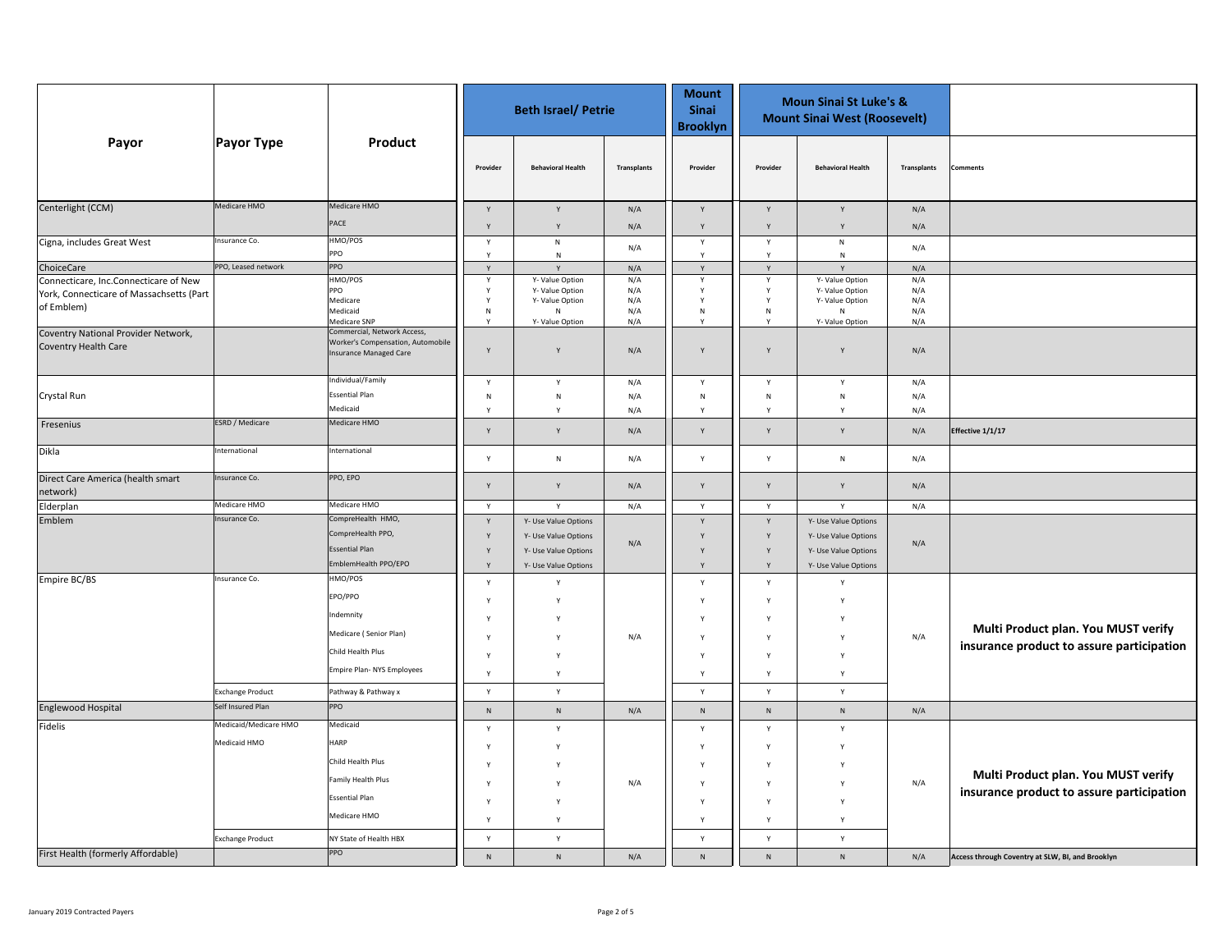|                                                             |                         |                                                                                            | <b>Beth Israel/ Petrie</b> |                          |                    | <b>Mount</b><br><b>Sinai</b><br><b>Brooklyn</b> | <b>Moun Sinai St Luke's &amp;</b><br><b>Mount Sinai West (Roosevelt)</b> |                          |             |                                                  |
|-------------------------------------------------------------|-------------------------|--------------------------------------------------------------------------------------------|----------------------------|--------------------------|--------------------|-------------------------------------------------|--------------------------------------------------------------------------|--------------------------|-------------|--------------------------------------------------|
| Payor                                                       | <b>Payor Type</b>       | Product                                                                                    | Provider                   | <b>Behavioral Health</b> | <b>Transplants</b> | Provider                                        | Provider                                                                 | <b>Behavioral Health</b> | Transplants | <b>Comments</b>                                  |
| Centerlight (CCM)                                           | Medicare HMO            | Medicare HMO                                                                               | Y                          | Y                        | N/A                | Y                                               | Y                                                                        | Y                        | N/A         |                                                  |
|                                                             |                         | PACE                                                                                       | Y                          | Y                        | N/A                | Y                                               | Y                                                                        | Y                        | N/A         |                                                  |
| Cigna, includes Great West                                  | Insurance Co.           | HMO/POS<br>PPO                                                                             | Y                          | ${\sf N}$                | N/A                | Y                                               | Y                                                                        | ${\sf N}$                | N/A         |                                                  |
| ChoiceCare                                                  | PPO, Leased network     | PPO                                                                                        | Y<br>Y                     | ${\sf N}$<br>Y           | N/A                | Y<br>Y                                          | Y<br>Y                                                                   | N<br>Y                   |             |                                                  |
| Connecticare, Inc.Connecticare of New                       |                         | HMO/POS                                                                                    | Y                          | Y-Value Option           | N/A                | Y                                               | Υ                                                                        | Y-Value Option           | N/A<br>N/A  |                                                  |
| York, Connecticare of Massachsetts (Part                    |                         | PPO                                                                                        | Y                          | Y- Value Option          | N/A                | v                                               | Y                                                                        | Y-Value Option           | N/A         |                                                  |
| of Emblem)                                                  |                         | Medicare<br>Medicaid                                                                       | Y<br>${\sf N}$             | Y- Value Option<br>N     | N/A                | Y<br>${\sf N}$                                  | $\mathsf{Y}$<br>${\sf N}$                                                | Y-Value Option<br>N      | N/A<br>N/A  |                                                  |
|                                                             |                         | Medicare SNP                                                                               |                            | Y-Value Option           | N/A<br>N/A         |                                                 | Y                                                                        | Y-Value Option           | N/A         |                                                  |
| Coventry National Provider Network,<br>Coventry Health Care |                         | Commercial, Network Access,<br>Worker's Compensation, Automobile<br>Insurance Managed Care | Y                          | Y                        | N/A                | Y                                               | Y                                                                        | Y                        | N/A         |                                                  |
|                                                             |                         | Individual/Family                                                                          | Y                          | Y                        | N/A                | Y                                               | Y                                                                        | Y                        | N/A         |                                                  |
| Crystal Run                                                 |                         | <b>Essential Plan</b>                                                                      | ${\sf N}$                  | ${\sf N}$                | N/A                | N                                               | ${\sf N}$                                                                | N                        | N/A         |                                                  |
|                                                             |                         | Medicaid                                                                                   | Y                          | Y                        | N/A                | Y                                               | $\mathsf{Y}$                                                             | Y                        | N/A         |                                                  |
| Fresenius                                                   | ESRD / Medicare         | Medicare HMO                                                                               | Y                          | Y                        | N/A                | Y                                               | Y                                                                        | Y                        | N/A         | Effective 1/1/17                                 |
| Dikla                                                       | International           | International                                                                              | Y                          | ${\sf N}$                | N/A                | $\mathsf{Y}$                                    | Y                                                                        | N                        | N/A         |                                                  |
| Direct Care America (health smart<br>network)               | Insurance Co.           | PPO, EPO                                                                                   | Y                          | $\mathsf{v}$             | $\rm N/A$          | Y                                               | Y                                                                        | Y                        | N/A         |                                                  |
| Elderplan                                                   | Medicare HMO            | Medicare HMO                                                                               | Y                          | Y                        | N/A                | $\mathsf{Y}$                                    | $\mathsf{Y}$                                                             | $\mathsf{Y}$             | N/A         |                                                  |
| Emblem                                                      | Insurance Co.           | CompreHealth HMO,                                                                          | Y                          | Y- Use Value Options     |                    | Y                                               | Y                                                                        | Y- Use Value Options     |             |                                                  |
|                                                             |                         | CompreHealth PPO,                                                                          | Y                          | Y- Use Value Options     | N/A                | Y                                               | Y                                                                        | Y- Use Value Options     | N/A         |                                                  |
|                                                             |                         | <b>Essential Plan</b>                                                                      | Y                          | Y- Use Value Options     |                    | Y                                               | Y                                                                        | Y- Use Value Options     |             |                                                  |
|                                                             |                         | EmblemHealth PPO/EPO                                                                       | Y                          | Y- Use Value Options     |                    | Y                                               | Y                                                                        | Y- Use Value Options     |             |                                                  |
| Empire BC/BS                                                | Insurance Co.           | HMO/POS                                                                                    | Y                          | Y                        |                    | $\mathsf{Y}$                                    | Y                                                                        | Y                        |             |                                                  |
|                                                             |                         | EPO/PPO                                                                                    | Y                          |                          |                    | Y                                               | Y                                                                        |                          |             |                                                  |
|                                                             |                         | Indemnity                                                                                  | Y                          |                          |                    | γ                                               | Y                                                                        |                          |             |                                                  |
|                                                             |                         | Medicare (Senior Plan)                                                                     | Y                          | Y                        | N/A                | Y                                               | Y                                                                        |                          | N/A         | Multi Product plan. You MUST verify              |
|                                                             |                         | Child Health Plus                                                                          | Y                          | Y                        |                    | Y                                               | Y                                                                        | Y                        |             | insurance product to assure participation        |
|                                                             |                         | Empire Plan- NYS Employees                                                                 | Y                          | Y                        |                    | $\mathsf{Y}$                                    | $\mathsf{Y}$                                                             | $\mathsf{Y}$             |             |                                                  |
|                                                             | <b>Exchange Product</b> | Pathway & Pathway x                                                                        | Y                          | Y                        |                    | Y                                               | Y                                                                        | Y                        |             |                                                  |
| Englewood Hospital                                          | Self Insured Plan       | PPO                                                                                        | ${\sf N}$                  | ${\sf N}$                | N/A                | ${\sf N}$                                       | $\mathsf{N}$                                                             | $\mathsf{N}$             | N/A         |                                                  |
| Fidelis                                                     | Medicaid/Medicare HMO   | Medicaid                                                                                   |                            |                          |                    |                                                 |                                                                          |                          |             |                                                  |
|                                                             | Medicaid HMO            | <b>HARP</b>                                                                                | Y                          | Y                        |                    | Y                                               | Y                                                                        | Y                        |             |                                                  |
|                                                             |                         | Child Health Plus                                                                          | $\mathsf{Y}$               |                          |                    | $\mathsf{Y}$                                    | Y                                                                        | Y                        |             |                                                  |
|                                                             |                         |                                                                                            | Y                          |                          |                    | γ                                               | Y                                                                        |                          |             | Multi Product plan. You MUST verify              |
|                                                             |                         | Family Health Plus                                                                         | Y                          | Y                        | N/A                | Y                                               | Y                                                                        |                          | N/A         |                                                  |
|                                                             |                         | <b>Essential Plan</b>                                                                      | Y                          | Y                        |                    | Y                                               | Y                                                                        | Y                        |             | insurance product to assure participation        |
|                                                             |                         | Medicare HMO                                                                               | Y                          | Y                        |                    | Y                                               | $\mathsf{Y}$                                                             | Y                        |             |                                                  |
|                                                             | <b>Exchange Product</b> | NY State of Health HBX                                                                     | Y                          | Y                        |                    | Y                                               | Y                                                                        | Y                        |             |                                                  |
| First Health (formerly Affordable)                          |                         | PPO                                                                                        | ${\sf N}$                  | ${\sf N}$                | N/A                | $\mathsf{N}$                                    | $\mathsf{N}$                                                             | $\mathsf{N}$             | N/A         | Access through Coventry at SLW, BI, and Brooklyn |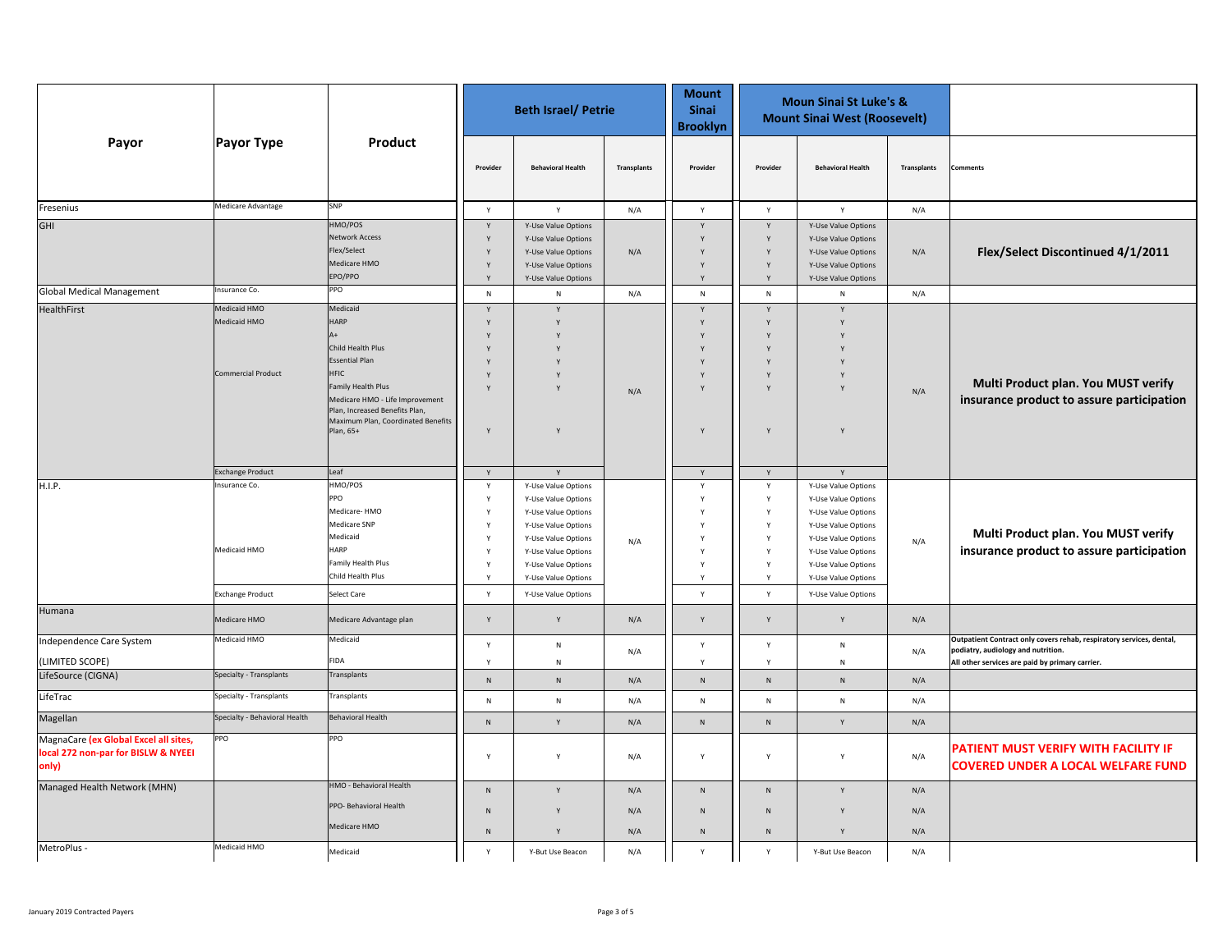|                                                                                       |                                                           |                                                                                                                                                                                                                                                         |                                      | <b>Beth Israel/ Petrie</b>                                                                                                                                                           |                    | <b>Mount</b><br><b>Sinai</b><br><b>Brooklyn</b> | <b>Moun Sinai St Luke's &amp;</b><br><b>Mount Sinai West (Roosevelt)</b> |                                                                                                                                                                                      |             |                                                                                                                                                               |
|---------------------------------------------------------------------------------------|-----------------------------------------------------------|---------------------------------------------------------------------------------------------------------------------------------------------------------------------------------------------------------------------------------------------------------|--------------------------------------|--------------------------------------------------------------------------------------------------------------------------------------------------------------------------------------|--------------------|-------------------------------------------------|--------------------------------------------------------------------------|--------------------------------------------------------------------------------------------------------------------------------------------------------------------------------------|-------------|---------------------------------------------------------------------------------------------------------------------------------------------------------------|
| Payor                                                                                 | Payor Type                                                | Product                                                                                                                                                                                                                                                 | Provider                             | <b>Behavioral Health</b>                                                                                                                                                             | <b>Transplants</b> | Provider                                        | Provider                                                                 | <b>Behavioral Health</b>                                                                                                                                                             | Transplants | omments                                                                                                                                                       |
| Fresenius                                                                             | Medicare Advantage                                        | SNP                                                                                                                                                                                                                                                     | Y                                    | Y                                                                                                                                                                                    | N/A                | Y                                               | Y                                                                        | $\mathsf{Y}$                                                                                                                                                                         | N/A         |                                                                                                                                                               |
| <b>GHI</b>                                                                            |                                                           | HMO/POS<br><b>Network Access</b><br>Flex/Select<br>Medicare HMO<br>EPO/PPO                                                                                                                                                                              | Y<br>Y<br>Y                          | Y-Use Value Options<br>Y-Use Value Options<br>Y-Use Value Options<br>Y-Use Value Options<br>Y-Use Value Options                                                                      | N/A                | $\mathsf{v}$                                    | Y<br>Y<br>Y<br>Y                                                         | Y-Use Value Options<br>Y-Use Value Options<br>Y-Use Value Options<br>Y-Use Value Options<br>Y-Use Value Options                                                                      | N/A         | Flex/Select Discontinued 4/1/2011                                                                                                                             |
| <b>Global Medical Management</b>                                                      | Insurance Co.                                             | PPO                                                                                                                                                                                                                                                     | N                                    | ${\sf N}$                                                                                                                                                                            | N/A                | ${\sf N}$                                       | ${\sf N}$                                                                | N                                                                                                                                                                                    | N/A         |                                                                                                                                                               |
| HealthFirst                                                                           | Medicaid HMO<br>Medicaid HMO<br><b>Commercial Product</b> | Medicaid<br><b>HARP</b><br>$\Delta +$<br>Child Health Plus<br><b>Essential Plan</b><br><b>HFIC</b><br><b>Family Health Plus</b><br>Medicare HMO - Life Improvement<br>Plan, Increased Benefits Plan,<br>Maximum Plan, Coordinated Benefits<br>Plan, 65+ | Y                                    | Y<br>Y                                                                                                                                                                               | N/A                |                                                 | Y                                                                        |                                                                                                                                                                                      | N/A         | Multi Product plan. You MUST verify<br>insurance product to assure participation                                                                              |
|                                                                                       | <b>Exchange Product</b>                                   | Leaf                                                                                                                                                                                                                                                    | Y                                    | Y                                                                                                                                                                                    |                    | Y                                               | Y                                                                        | Y                                                                                                                                                                                    |             |                                                                                                                                                               |
| H.I.P.                                                                                | Insurance Co<br>Medicaid HMO                              | HMO/POS<br>PPO<br>Medicare-HMO<br><b>Medicare SNP</b><br>Medicaid<br><b>HARP</b><br><b>Family Health Plus</b><br>Child Health Plus                                                                                                                      | Y<br>Y<br>Y<br>Y<br>Y<br>Y<br>Y<br>Y | Y-Use Value Options<br>Y-Use Value Options<br>Y-Use Value Options<br>Y-Use Value Options<br>Y-Use Value Options<br>Y-Use Value Options<br>Y-Use Value Options<br>Y-Use Value Options | N/A                | Y<br>$\mathbf v$<br>$\mathbf v$<br>Y            | Y<br>Y<br>Y<br>Y<br>Y<br>Y<br>Y<br>Y                                     | Y-Use Value Options<br>Y-Use Value Options<br>Y-Use Value Options<br>Y-Use Value Options<br>Y-Use Value Options<br>Y-Use Value Options<br>Y-Use Value Options<br>Y-Use Value Options | N/A         | Multi Product plan. You MUST verify<br>insurance product to assure participation                                                                              |
|                                                                                       | <b>Exchange Product</b>                                   | <b>Select Care</b>                                                                                                                                                                                                                                      | Y                                    | Y-Use Value Options                                                                                                                                                                  |                    | Y                                               | Y                                                                        | Y-Use Value Options                                                                                                                                                                  |             |                                                                                                                                                               |
| Humana                                                                                | Medicare HMO                                              | Medicare Advantage plan                                                                                                                                                                                                                                 | Y                                    | Y                                                                                                                                                                                    | N/A                | Y                                               | Y                                                                        | Y                                                                                                                                                                                    | N/A         |                                                                                                                                                               |
| Independence Care System<br>(LIMITED SCOPE)                                           | Medicaid HMO                                              | Medicaid<br><b>FIDA</b>                                                                                                                                                                                                                                 | Y<br>Y                               | ${\sf N}$<br>${\sf N}$                                                                                                                                                               | N/A                | Y<br>Y                                          | Y<br>Y                                                                   | $\mathsf{N}$<br>${\sf N}$                                                                                                                                                            | N/A         | Outpatient Contract only covers rehab, respiratory services, dental,<br>podiatry, audiology and nutrition.<br>All other services are paid by primary carrier. |
| LifeSource (CIGNA)                                                                    | Specialty - Transplants                                   | Transplants                                                                                                                                                                                                                                             | $\,$ N                               | ${\sf N}$                                                                                                                                                                            | N/A                | ${\sf N}$                                       | ${\sf N}$                                                                | $\mathsf{N}$                                                                                                                                                                         | N/A         |                                                                                                                                                               |
| LifeTrac                                                                              | Specialty - Transplants                                   | Transplants                                                                                                                                                                                                                                             | ${\sf N}$                            | ${\sf N}$                                                                                                                                                                            | N/A                | ${\sf N}$                                       | ${\sf N}$                                                                | ${\sf N}$                                                                                                                                                                            | N/A         |                                                                                                                                                               |
| Magellan                                                                              | Specialty - Behavioral Health                             | Behavioral Health                                                                                                                                                                                                                                       | ${\sf N}$                            | Y                                                                                                                                                                                    | N/A                | ${\sf N}$                                       | ${\sf N}$                                                                | Y                                                                                                                                                                                    | N/A         |                                                                                                                                                               |
| MagnaCare (ex Global Excel all sites,<br>local 272 non-par for BISLW & NYEEI<br>only) | PPO                                                       | PPO                                                                                                                                                                                                                                                     | Y                                    | $\mathsf{Y}$                                                                                                                                                                         | N/A                | Y                                               | Y                                                                        | $\mathsf{v}$                                                                                                                                                                         | N/A         | PATIENT MUST VERIFY WITH FACILITY IF<br><b>COVERED UNDER A LOCAL WELFARE FUND</b>                                                                             |
| Managed Health Network (MHN)                                                          |                                                           | HMO - Behavioral Health                                                                                                                                                                                                                                 | $\mathsf{N}$                         | Y                                                                                                                                                                                    | N/A                | $\mathsf{N}$                                    | $\mathsf{N}$                                                             |                                                                                                                                                                                      | N/A         |                                                                                                                                                               |
|                                                                                       |                                                           | PPO- Behavioral Health<br>Medicare HMO                                                                                                                                                                                                                  | N<br>N                               | Y                                                                                                                                                                                    | N/A<br>N/A         | ${\sf N}$<br>${\sf N}$                          | $\mathsf{N}$<br>$\mathsf{N}$                                             |                                                                                                                                                                                      | N/A<br>N/A  |                                                                                                                                                               |
| MetroPlus -                                                                           | Medicaid HMO                                              | Medicaid                                                                                                                                                                                                                                                | Y                                    | Y-But Use Beacon                                                                                                                                                                     | N/A                | Y                                               | $\mathsf{v}$                                                             | Y-But Use Beacon                                                                                                                                                                     | N/A         |                                                                                                                                                               |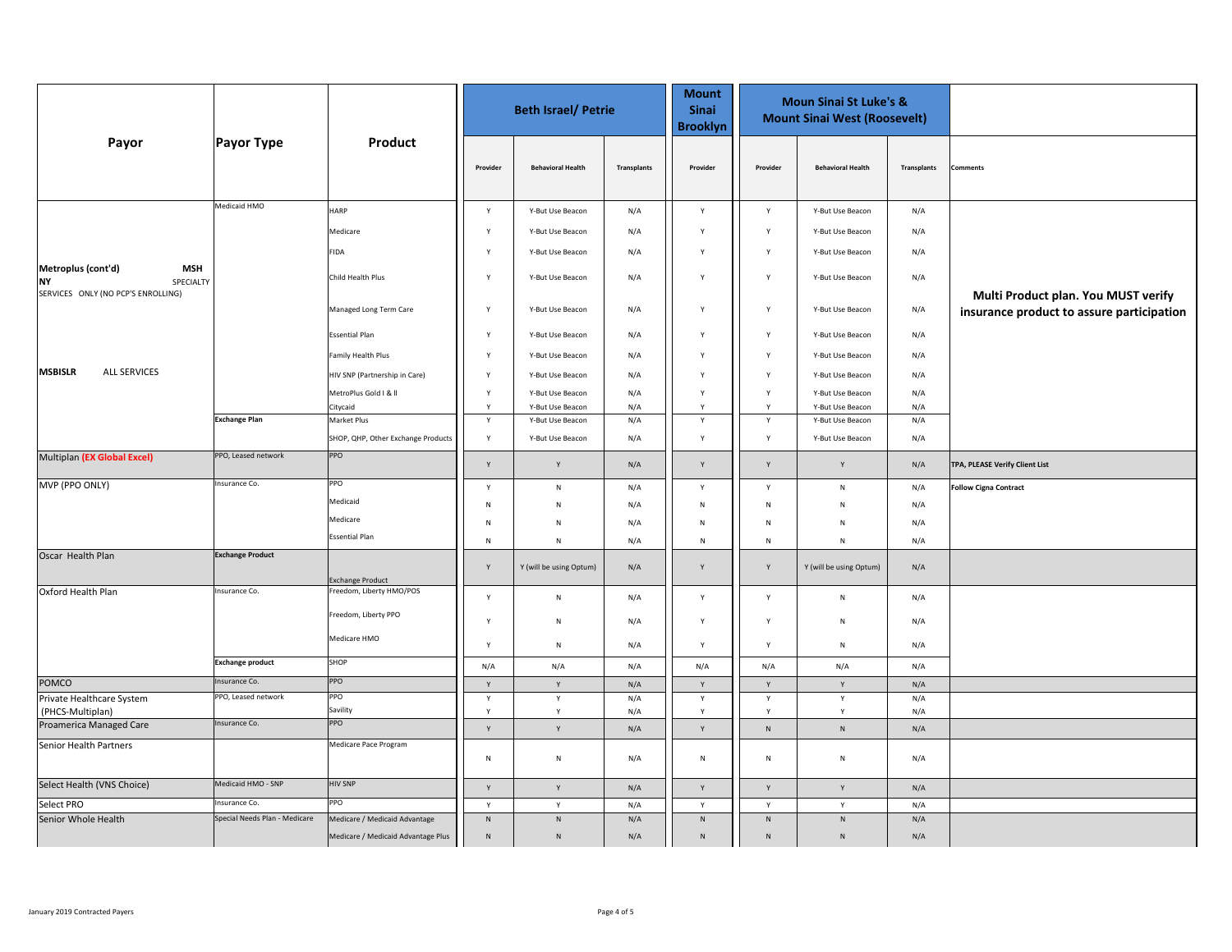|                                                                                                  |                               | Product                            | <b>Beth Israel/ Petrie</b> |                          |             | <b>Mount</b><br><b>Sinai</b><br><b>Brooklyn</b> | <b>Moun Sinai St Luke's &amp;</b><br><b>Mount Sinai West (Roosevelt)</b> |                          |             |                                                                                  |
|--------------------------------------------------------------------------------------------------|-------------------------------|------------------------------------|----------------------------|--------------------------|-------------|-------------------------------------------------|--------------------------------------------------------------------------|--------------------------|-------------|----------------------------------------------------------------------------------|
| Payor                                                                                            | <b>Payor Type</b>             |                                    | Provider                   | <b>Behavioral Health</b> | Transplants | Provider                                        | Provider                                                                 | <b>Behavioral Health</b> | Transplants | omments                                                                          |
|                                                                                                  | Medicaid HMO                  | <b>HARP</b>                        | $\mathsf{Y}$               | Y-But Use Beacon         | N/A         | $\mathsf{Y}$                                    | $\mathsf{Y}$                                                             | Y-But Use Beacon         | N/A         |                                                                                  |
|                                                                                                  |                               | Medicare                           | Y                          | Y-But Use Beacon         | N/A         | $\mathsf{v}$                                    | Y                                                                        | Y-But Use Beacon         | N/A         |                                                                                  |
|                                                                                                  |                               | <b>FIDA</b>                        | Y                          | Y-But Use Beacon         | N/A         | Y                                               | Y                                                                        | Y-But Use Beacon         | N/A         |                                                                                  |
| Metroplus (cont'd)<br><b>MSH</b><br><b>NY</b><br>SPECIALTY<br>SERVICES ONLY (NO PCP'S ENROLLING) |                               | Child Health Plus                  | Y                          | Y-But Use Beacon         | N/A         | $\mathsf{Y}$                                    | Y                                                                        | Y-But Use Beacon         | N/A         |                                                                                  |
|                                                                                                  |                               | Managed Long Term Care             | Y                          | Y-But Use Beacon         | N/A         | Y                                               | Y                                                                        | Y-But Use Beacon         | N/A         | Multi Product plan. You MUST verify<br>insurance product to assure participation |
|                                                                                                  |                               | <b>Essential Plan</b>              | Y                          | Y-But Use Beacon         | N/A         | $\mathsf{Y}$                                    | Y                                                                        | Y-But Use Beacon         | N/A         |                                                                                  |
|                                                                                                  |                               | Family Health Plus                 | Y                          | Y-But Use Beacon         | N/A         | $\mathsf{Y}$                                    | Y                                                                        | Y-But Use Beacon         | N/A         |                                                                                  |
| <b>ALL SERVICES</b><br><b>MSBISLR</b>                                                            |                               | HIV SNP (Partnership in Care)      | Y                          | Y-But Use Beacon         | N/A         | $\mathsf{Y}$                                    | Y                                                                        | Y-But Use Beacon         | N/A         |                                                                                  |
|                                                                                                  |                               | MetroPlus Gold   &                 | Y                          | Y-But Use Beacon         | N/A         | Y                                               | Y                                                                        | Y-But Use Beacon         | N/A         |                                                                                  |
|                                                                                                  | <b>Exchange Plan</b>          | Citycaid                           | Y                          | Y-But Use Beacon         | N/A         | Y                                               | $\mathsf{Y}$                                                             | Y-But Use Beacon         | N/A         |                                                                                  |
|                                                                                                  |                               | Market Plus                        | Y                          | Y-But Use Beacon         | N/A         | Y                                               | Y                                                                        | Y-But Use Beacon         | N/A         |                                                                                  |
|                                                                                                  |                               | SHOP, QHP, Other Exchange Products | Y                          | Y-But Use Beacon         | N/A         | Y                                               | $\mathsf{Y}$                                                             | Y-But Use Beacon         | N/A         |                                                                                  |
| Multiplan (EX Global Excel)                                                                      | PPO, Leased network           | PPO                                | Y                          | Y                        | N/A         | Y                                               | Y                                                                        | Y                        | N/A         | TPA, PLEASE Verify Client List                                                   |
| MVP (PPO ONLY)                                                                                   | Insurance Co.                 | PPO                                | Y                          | ${\sf N}$                | N/A         | $\mathsf{Y}$                                    | Y                                                                        | ${\sf N}$                | N/A         | <b>Follow Cigna Contract</b>                                                     |
|                                                                                                  |                               | Medicaid                           | ${\sf N}$                  | N                        | N/A         | N                                               | N                                                                        | N                        | N/A         |                                                                                  |
|                                                                                                  |                               | Medicare                           | N                          | N                        | N/A         | N                                               | N                                                                        | N                        | N/A         |                                                                                  |
|                                                                                                  |                               | <b>Essential Plan</b>              | ${\sf N}$                  | ${\sf N}$                | N/A         | ${\sf N}$                                       | N                                                                        | N                        | N/A         |                                                                                  |
| Oscar Health Plan                                                                                | <b>Exchange Product</b>       | <b>Exchange Product</b>            | $\mathsf Y$                | Y (will be using Optum)  | N/A         | Y                                               | $\mathsf{Y}$                                                             | Y (will be using Optum)  | N/A         |                                                                                  |
| Oxford Health Plan                                                                               | Insurance Co.                 | Freedom, Liberty HMO/POS           | $\mathsf{Y}$               | ${\sf N}$                | N/A         | $\mathsf{Y}$                                    | $\mathsf{Y}$                                                             | N                        | N/A         |                                                                                  |
|                                                                                                  |                               | Freedom, Liberty PPO               |                            |                          |             |                                                 |                                                                          |                          |             |                                                                                  |
|                                                                                                  |                               | Medicare HMO                       | Y<br>Y                     | ${\sf N}$<br>${\sf N}$   | N/A<br>N/A  | $\mathsf{Y}$<br>Y                               | $\mathsf{Y}$<br>Y                                                        | N<br>N                   | N/A<br>N/A  |                                                                                  |
|                                                                                                  | <b>Exchange product</b>       | SHOP                               | N/A                        | N/A                      | N/A         | N/A                                             | N/A                                                                      | N/A                      | N/A         |                                                                                  |
| <b>POMCO</b>                                                                                     | Insurance Co.                 | PPO                                | $\mathsf Y$                | $\mathsf Y$              | N/A         | Y                                               | Y                                                                        | Y                        | N/A         |                                                                                  |
| Private Healthcare System                                                                        | PPO, Leased network           | PPO                                | Y                          | Y                        | N/A         | Y                                               | Y                                                                        | Y                        | N/A         |                                                                                  |
| (PHCS-Multiplan)                                                                                 |                               | Savility                           | Y                          | Y                        | N/A         | Y                                               | Y                                                                        | Y                        | N/A         |                                                                                  |
| Proamerica Managed Care                                                                          | Insurance Co.                 | PPO                                | $\mathsf{Y}$               | Y                        | N/A         | Y                                               | ${\sf N}$                                                                | ${\sf N}$                | N/A         |                                                                                  |
| Senior Health Partners                                                                           |                               | Medicare Pace Program              | ${\sf N}$                  | ${\sf N}$                | N/A         | ${\sf N}$                                       | ${\sf N}$                                                                | N                        | N/A         |                                                                                  |
| Select Health (VNS Choice)                                                                       | Medicaid HMO - SNP            | <b>HIV SNP</b>                     | Y                          | Y                        | N/A         | Y                                               | $\mathsf{Y}$                                                             | Y                        | N/A         |                                                                                  |
| Select PRO                                                                                       | nsurance Co.                  | PPO                                | Y                          | Y                        | N/A         | Y                                               | Y                                                                        | Y                        | N/A         |                                                                                  |
| Senior Whole Health                                                                              | Special Needs Plan - Medicare | Medicare / Medicaid Advantage      | ${\sf N}$                  | ${\sf N}$                | N/A         | N                                               | ${\sf N}$                                                                | $\overline{N}$           | N/A         |                                                                                  |
|                                                                                                  |                               | Medicare / Medicaid Advantage Plus | $\,N\,$                    | $\,$ N                   | N/A         | N                                               | $\mathsf{N}$                                                             | N                        | N/A         |                                                                                  |